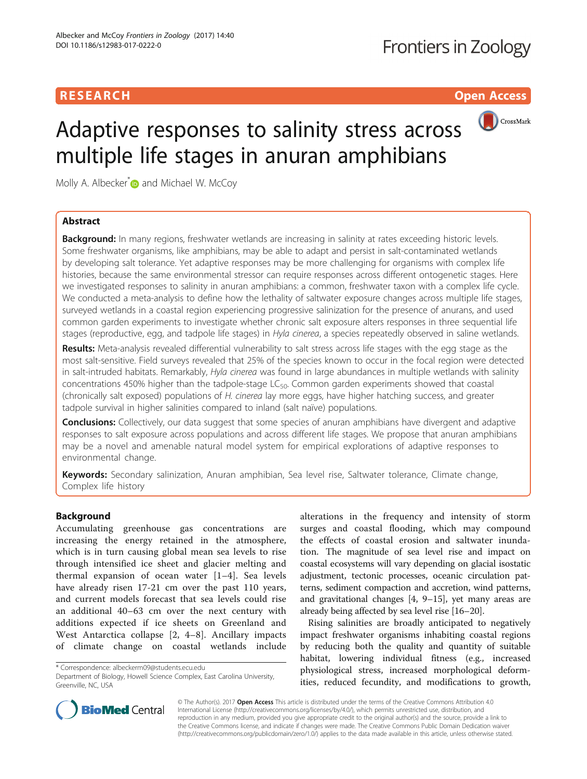# **RESEARCH CHILD CONTROL** CONTROL CONTROL CONTROL CONTROL CONTROL CONTROL CONTROL CONTROL CONTROL CONTROL CONTROL



Molly A. Albecker<sup>[\\*](http://orcid.org/0000-0002-5121-8101)</sup> and Michael W. McCoy

# Abstract

**Background:** In many regions, freshwater wetlands are increasing in salinity at rates exceeding historic levels. Some freshwater organisms, like amphibians, may be able to adapt and persist in salt-contaminated wetlands by developing salt tolerance. Yet adaptive responses may be more challenging for organisms with complex life histories, because the same environmental stressor can require responses across different ontogenetic stages. Here we investigated responses to salinity in anuran amphibians: a common, freshwater taxon with a complex life cycle. We conducted a meta-analysis to define how the lethality of saltwater exposure changes across multiple life stages, surveyed wetlands in a coastal region experiencing progressive salinization for the presence of anurans, and used common garden experiments to investigate whether chronic salt exposure alters responses in three sequential life stages (reproductive, egg, and tadpole life stages) in Hyla cinerea, a species repeatedly observed in saline wetlands.

Results: Meta-analysis revealed differential vulnerability to salt stress across life stages with the egg stage as the most salt-sensitive. Field surveys revealed that 25% of the species known to occur in the focal region were detected in salt-intruded habitats. Remarkably, Hyla cinerea was found in large abundances in multiple wetlands with salinity concentrations 450% higher than the tadpole-stage  $LC_{50}$ . Common garden experiments showed that coastal (chronically salt exposed) populations of H. cinerea lay more eggs, have higher hatching success, and greater tadpole survival in higher salinities compared to inland (salt naïve) populations.

**Conclusions:** Collectively, our data suggest that some species of anuran amphibians have divergent and adaptive responses to salt exposure across populations and across different life stages. We propose that anuran amphibians may be a novel and amenable natural model system for empirical explorations of adaptive responses to environmental change.

Keywords: Secondary salinization, Anuran amphibian, Sea level rise, Saltwater tolerance, Climate change, Complex life history

# Background

Accumulating greenhouse gas concentrations are increasing the energy retained in the atmosphere, which is in turn causing global mean sea levels to rise through intensified ice sheet and glacier melting and thermal expansion of ocean water [[1](#page-12-0)–[4](#page-13-0)]. Sea levels have already risen 17-21 cm over the past 110 years, and current models forecast that sea levels could rise an additional 40–63 cm over the next century with additions expected if ice sheets on Greenland and West Antarctica collapse [[2, 4](#page-13-0)–[8\]](#page-13-0). Ancillary impacts of climate change on coastal wetlands include

\* Correspondence: [albeckerm09@students.ecu.edu](mailto:albeckerm09@students.ecu.edu)

alterations in the frequency and intensity of storm surges and coastal flooding, which may compound the effects of coastal erosion and saltwater inundation. The magnitude of sea level rise and impact on coastal ecosystems will vary depending on glacial isostatic adjustment, tectonic processes, oceanic circulation patterns, sediment compaction and accretion, wind patterns, and gravitational changes [\[4](#page-13-0), [9](#page-13-0)–[15](#page-13-0)], yet many areas are already being affected by sea level rise [\[16](#page-13-0)–[20](#page-13-0)].

Rising salinities are broadly anticipated to negatively impact freshwater organisms inhabiting coastal regions by reducing both the quality and quantity of suitable habitat, lowering individual fitness (e.g., increased physiological stress, increased morphological deformities, reduced fecundity, and modifications to growth,



© The Author(s). 2017 **Open Access** This article is distributed under the terms of the Creative Commons Attribution 4.0 International License [\(http://creativecommons.org/licenses/by/4.0/](http://creativecommons.org/licenses/by/4.0/)), which permits unrestricted use, distribution, and reproduction in any medium, provided you give appropriate credit to the original author(s) and the source, provide a link to the Creative Commons license, and indicate if changes were made. The Creative Commons Public Domain Dedication waiver [\(http://creativecommons.org/publicdomain/zero/1.0/](http://creativecommons.org/publicdomain/zero/1.0/)) applies to the data made available in this article, unless otherwise stated.

Department of Biology, Howell Science Complex, East Carolina University, Greenville, NC, USA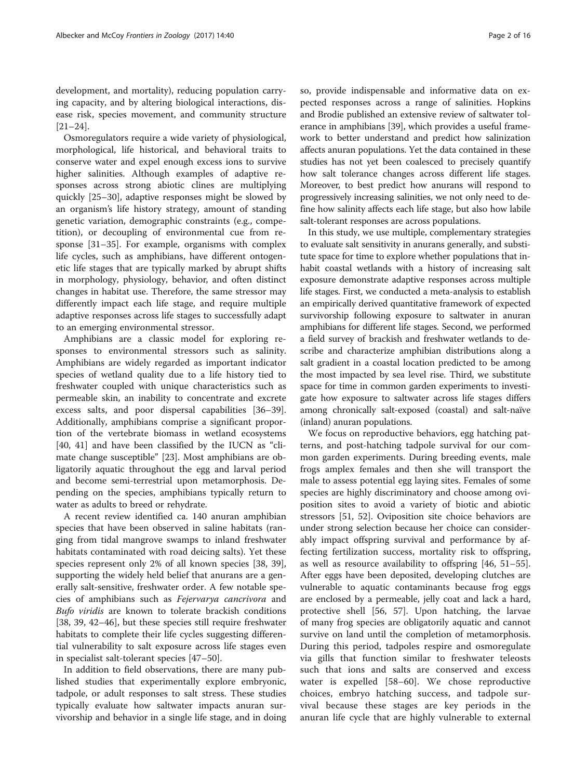development, and mortality), reducing population carrying capacity, and by altering biological interactions, disease risk, species movement, and community structure [[21](#page-13-0)–[24](#page-13-0)].

Osmoregulators require a wide variety of physiological, morphological, life historical, and behavioral traits to conserve water and expel enough excess ions to survive higher salinities. Although examples of adaptive responses across strong abiotic clines are multiplying quickly [[25](#page-13-0)–[30\]](#page-13-0), adaptive responses might be slowed by an organism's life history strategy, amount of standing genetic variation, demographic constraints (e.g., competition), or decoupling of environmental cue from response [\[31](#page-13-0)–[35\]](#page-13-0). For example, organisms with complex life cycles, such as amphibians, have different ontogenetic life stages that are typically marked by abrupt shifts in morphology, physiology, behavior, and often distinct changes in habitat use. Therefore, the same stressor may differently impact each life stage, and require multiple adaptive responses across life stages to successfully adapt to an emerging environmental stressor.

Amphibians are a classic model for exploring responses to environmental stressors such as salinity. Amphibians are widely regarded as important indicator species of wetland quality due to a life history tied to freshwater coupled with unique characteristics such as permeable skin, an inability to concentrate and excrete excess salts, and poor dispersal capabilities [[36](#page-13-0)–[39](#page-13-0)]. Additionally, amphibians comprise a significant proportion of the vertebrate biomass in wetland ecosystems [[40, 41](#page-13-0)] and have been classified by the IUCN as "climate change susceptible" [\[23](#page-13-0)]. Most amphibians are obligatorily aquatic throughout the egg and larval period and become semi-terrestrial upon metamorphosis. Depending on the species, amphibians typically return to water as adults to breed or rehydrate.

A recent review identified ca. 140 anuran amphibian species that have been observed in saline habitats (ranging from tidal mangrove swamps to inland freshwater habitats contaminated with road deicing salts). Yet these species represent only 2% of all known species [[38, 39](#page-13-0)], supporting the widely held belief that anurans are a generally salt-sensitive, freshwater order. A few notable species of amphibians such as Fejervarya cancrivora and Bufo viridis are known to tolerate brackish conditions [[38, 39, 42](#page-13-0)–[46\]](#page-13-0), but these species still require freshwater habitats to complete their life cycles suggesting differential vulnerability to salt exposure across life stages even in specialist salt-tolerant species [[47](#page-13-0)–[50](#page-13-0)].

In addition to field observations, there are many published studies that experimentally explore embryonic, tadpole, or adult responses to salt stress. These studies typically evaluate how saltwater impacts anuran survivorship and behavior in a single life stage, and in doing so, provide indispensable and informative data on expected responses across a range of salinities. Hopkins and Brodie published an extensive review of saltwater tolerance in amphibians [[39](#page-13-0)], which provides a useful framework to better understand and predict how salinization affects anuran populations. Yet the data contained in these studies has not yet been coalesced to precisely quantify how salt tolerance changes across different life stages. Moreover, to best predict how anurans will respond to progressively increasing salinities, we not only need to define how salinity affects each life stage, but also how labile salt-tolerant responses are across populations.

In this study, we use multiple, complementary strategies to evaluate salt sensitivity in anurans generally, and substitute space for time to explore whether populations that inhabit coastal wetlands with a history of increasing salt exposure demonstrate adaptive responses across multiple life stages. First, we conducted a meta-analysis to establish an empirically derived quantitative framework of expected survivorship following exposure to saltwater in anuran amphibians for different life stages. Second, we performed a field survey of brackish and freshwater wetlands to describe and characterize amphibian distributions along a salt gradient in a coastal location predicted to be among the most impacted by sea level rise. Third, we substitute space for time in common garden experiments to investigate how exposure to saltwater across life stages differs among chronically salt-exposed (coastal) and salt-naïve (inland) anuran populations.

We focus on reproductive behaviors, egg hatching patterns, and post-hatching tadpole survival for our common garden experiments. During breeding events, male frogs amplex females and then she will transport the male to assess potential egg laying sites. Females of some species are highly discriminatory and choose among oviposition sites to avoid a variety of biotic and abiotic stressors [\[51](#page-13-0), [52](#page-13-0)]. Oviposition site choice behaviors are under strong selection because her choice can considerably impact offspring survival and performance by affecting fertilization success, mortality risk to offspring, as well as resource availability to offspring [[46](#page-13-0), [51](#page-13-0)–[55](#page-13-0)]. After eggs have been deposited, developing clutches are vulnerable to aquatic contaminants because frog eggs are enclosed by a permeable, jelly coat and lack a hard, protective shell [[56](#page-13-0), [57\]](#page-14-0). Upon hatching, the larvae of many frog species are obligatorily aquatic and cannot survive on land until the completion of metamorphosis. During this period, tadpoles respire and osmoregulate via gills that function similar to freshwater teleosts such that ions and salts are conserved and excess water is expelled [[58](#page-14-0)–[60](#page-14-0)]. We chose reproductive choices, embryo hatching success, and tadpole survival because these stages are key periods in the anuran life cycle that are highly vulnerable to external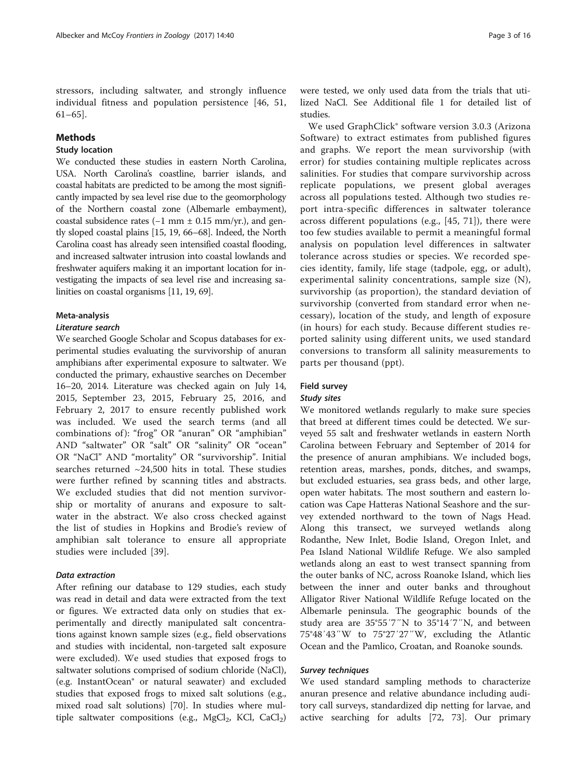stressors, including saltwater, and strongly influence individual fitness and population persistence [[46, 51](#page-13-0), [61](#page-14-0)–[65\]](#page-14-0).

## Methods

# Study location

We conducted these studies in eastern North Carolina, USA. North Carolina's coastline, barrier islands, and coastal habitats are predicted to be among the most significantly impacted by sea level rise due to the geomorphology of the Northern coastal zone (Albemarle embayment), coastal subsidence rates  $(-1 \text{ mm} \pm 0.15 \text{ mm/yr.})$ , and gently sloped coastal plains [[15](#page-13-0), [19,](#page-13-0) [66](#page-14-0)–[68\]](#page-14-0). Indeed, the North Carolina coast has already seen intensified coastal flooding, and increased saltwater intrusion into coastal lowlands and freshwater aquifers making it an important location for investigating the impacts of sea level rise and increasing salinities on coastal organisms [\[11, 19](#page-13-0), [69](#page-14-0)].

#### Meta-analysis

### Literature search

We searched Google Scholar and Scopus databases for experimental studies evaluating the survivorship of anuran amphibians after experimental exposure to saltwater. We conducted the primary, exhaustive searches on December 16–20, 2014. Literature was checked again on July 14, 2015, September 23, 2015, February 25, 2016, and February 2, 2017 to ensure recently published work was included. We used the search terms (and all combinations of ): "frog" OR "anuran" OR "amphibian" AND "saltwater" OR "salt" OR "salinity" OR "ocean" OR "NaCl" AND "mortality" OR "survivorship". Initial searches returned  $\sim$ 24,500 hits in total. These studies were further refined by scanning titles and abstracts. We excluded studies that did not mention survivorship or mortality of anurans and exposure to saltwater in the abstract. We also cross checked against the list of studies in Hopkins and Brodie's review of amphibian salt tolerance to ensure all appropriate studies were included [[39](#page-13-0)].

## Data extraction

After refining our database to 129 studies, each study was read in detail and data were extracted from the text or figures. We extracted data only on studies that experimentally and directly manipulated salt concentrations against known sample sizes (e.g., field observations and studies with incidental, non-targeted salt exposure were excluded). We used studies that exposed frogs to saltwater solutions comprised of sodium chloride (NaCl), (e.g. InstantOcean® or natural seawater) and excluded studies that exposed frogs to mixed salt solutions (e.g., mixed road salt solutions) [[70\]](#page-14-0). In studies where multiple saltwater compositions (e.g.,  $MgCl_2$ , KCl,  $CaCl_2$ )

were tested, we only used data from the trials that utilized NaCl. See Additional file [1](#page-12-0) for detailed list of studies.

We used GraphClick® software version 3.0.3 (Arizona Software) to extract estimates from published figures and graphs. We report the mean survivorship (with error) for studies containing multiple replicates across salinities. For studies that compare survivorship across replicate populations, we present global averages across all populations tested. Although two studies report intra-specific differences in saltwater tolerance across different populations (e.g., [\[45](#page-13-0), [71\]](#page-14-0)), there were too few studies available to permit a meaningful formal analysis on population level differences in saltwater tolerance across studies or species. We recorded species identity, family, life stage (tadpole, egg, or adult), experimental salinity concentrations, sample size (N), survivorship (as proportion), the standard deviation of survivorship (converted from standard error when necessary), location of the study, and length of exposure (in hours) for each study. Because different studies reported salinity using different units, we used standard conversions to transform all salinity measurements to parts per thousand (ppt).

# Field survey

## Study sites

We monitored wetlands regularly to make sure species that breed at different times could be detected. We surveyed 55 salt and freshwater wetlands in eastern North Carolina between February and September of 2014 for the presence of anuran amphibians. We included bogs, retention areas, marshes, ponds, ditches, and swamps, but excluded estuaries, sea grass beds, and other large, open water habitats. The most southern and eastern location was Cape Hatteras National Seashore and the survey extended northward to the town of Nags Head. Along this transect, we surveyed wetlands along Rodanthe, New Inlet, Bodie Island, Oregon Inlet, and Pea Island National Wildlife Refuge. We also sampled wetlands along an east to west transect spanning from the outer banks of NC, across Roanoke Island, which lies between the inner and outer banks and throughout Alligator River National Wildlife Refuge located on the Albemarle peninsula. The geographic bounds of the study area are 35°55′7″N to 35°14′7″N, and between 75°48′43″W to 75°27′27″W, excluding the Atlantic Ocean and the Pamlico, Croatan, and Roanoke sounds.

### Survey techniques

We used standard sampling methods to characterize anuran presence and relative abundance including auditory call surveys, standardized dip netting for larvae, and active searching for adults [[72](#page-14-0), [73](#page-14-0)]. Our primary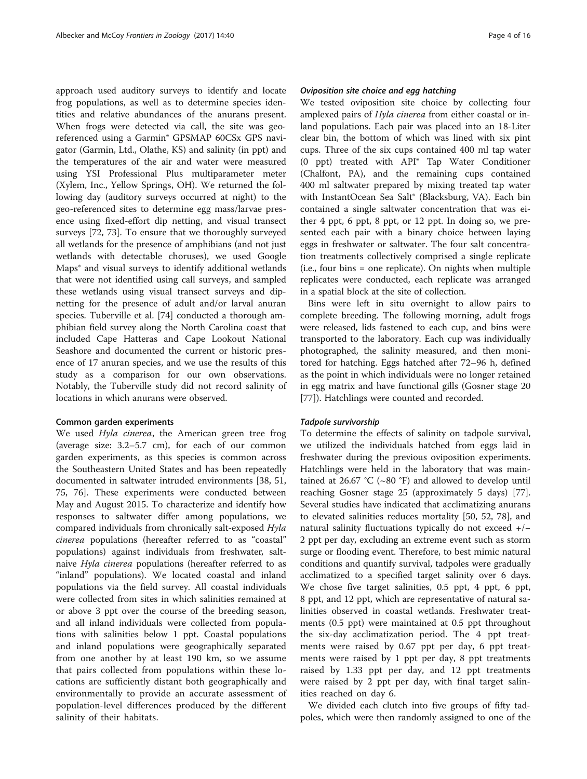approach used auditory surveys to identify and locate frog populations, as well as to determine species identities and relative abundances of the anurans present. When frogs were detected via call, the site was georeferenced using a Garmin® GPSMAP 60CSx GPS navigator (Garmin, Ltd., Olathe, KS) and salinity (in ppt) and the temperatures of the air and water were measured using YSI Professional Plus multiparameter meter (Xylem, Inc., Yellow Springs, OH). We returned the following day (auditory surveys occurred at night) to the geo-referenced sites to determine egg mass/larvae presence using fixed-effort dip netting, and visual transect surveys [\[72](#page-14-0), [73](#page-14-0)]. To ensure that we thoroughly surveyed all wetlands for the presence of amphibians (and not just wetlands with detectable choruses), we used Google Maps® and visual surveys to identify additional wetlands that were not identified using call surveys, and sampled these wetlands using visual transect surveys and dipnetting for the presence of adult and/or larval anuran species. Tuberville et al. [[74\]](#page-14-0) conducted a thorough amphibian field survey along the North Carolina coast that included Cape Hatteras and Cape Lookout National Seashore and documented the current or historic presence of 17 anuran species, and we use the results of this study as a comparison for our own observations. Notably, the Tuberville study did not record salinity of locations in which anurans were observed.

#### Common garden experiments

We used *Hyla cinerea*, the American green tree frog (average size: 3.2–5.7 cm), for each of our common garden experiments, as this species is common across the Southeastern United States and has been repeatedly documented in saltwater intruded environments [\[38](#page-13-0), [51](#page-13-0), [75, 76\]](#page-14-0). These experiments were conducted between May and August 2015. To characterize and identify how responses to saltwater differ among populations, we compared individuals from chronically salt-exposed Hyla cinerea populations (hereafter referred to as "coastal" populations) against individuals from freshwater, saltnaive Hyla cinerea populations (hereafter referred to as "inland" populations). We located coastal and inland populations via the field survey. All coastal individuals were collected from sites in which salinities remained at or above 3 ppt over the course of the breeding season, and all inland individuals were collected from populations with salinities below 1 ppt. Coastal populations and inland populations were geographically separated from one another by at least 190 km, so we assume that pairs collected from populations within these locations are sufficiently distant both geographically and environmentally to provide an accurate assessment of population-level differences produced by the different salinity of their habitats.

#### Oviposition site choice and egg hatching

We tested oviposition site choice by collecting four amplexed pairs of Hyla cinerea from either coastal or inland populations. Each pair was placed into an 18-Liter clear bin, the bottom of which was lined with six pint cups. Three of the six cups contained 400 ml tap water (0 ppt) treated with API® Tap Water Conditioner (Chalfont, PA), and the remaining cups contained 400 ml saltwater prepared by mixing treated tap water with InstantOcean Sea Salt® (Blacksburg, VA). Each bin contained a single saltwater concentration that was either 4 ppt, 6 ppt, 8 ppt, or 12 ppt. In doing so, we presented each pair with a binary choice between laying eggs in freshwater or saltwater. The four salt concentration treatments collectively comprised a single replicate (i.e., four bins = one replicate). On nights when multiple replicates were conducted, each replicate was arranged in a spatial block at the site of collection.

Bins were left in situ overnight to allow pairs to complete breeding. The following morning, adult frogs were released, lids fastened to each cup, and bins were transported to the laboratory. Each cup was individually photographed, the salinity measured, and then monitored for hatching. Eggs hatched after 72–96 h, defined as the point in which individuals were no longer retained in egg matrix and have functional gills (Gosner stage 20 [[77\]](#page-14-0)). Hatchlings were counted and recorded.

#### Tadpole survivorship

To determine the effects of salinity on tadpole survival, we utilized the individuals hatched from eggs laid in freshwater during the previous oviposition experiments. Hatchlings were held in the laboratory that was maintained at 26.67 °C ( $\sim$ 80 °F) and allowed to develop until reaching Gosner stage 25 (approximately 5 days) [\[77](#page-14-0)]. Several studies have indicated that acclimatizing anurans to elevated salinities reduces mortality [[50](#page-13-0), [52](#page-13-0), [78](#page-14-0)], and natural salinity fluctuations typically do not exceed +/− 2 ppt per day, excluding an extreme event such as storm surge or flooding event. Therefore, to best mimic natural conditions and quantify survival, tadpoles were gradually acclimatized to a specified target salinity over 6 days. We chose five target salinities, 0.5 ppt, 4 ppt, 6 ppt, 8 ppt, and 12 ppt, which are representative of natural salinities observed in coastal wetlands. Freshwater treatments (0.5 ppt) were maintained at 0.5 ppt throughout the six-day acclimatization period. The 4 ppt treatments were raised by 0.67 ppt per day, 6 ppt treatments were raised by 1 ppt per day, 8 ppt treatments raised by 1.33 ppt per day, and 12 ppt treatments were raised by 2 ppt per day, with final target salinities reached on day 6.

We divided each clutch into five groups of fifty tadpoles, which were then randomly assigned to one of the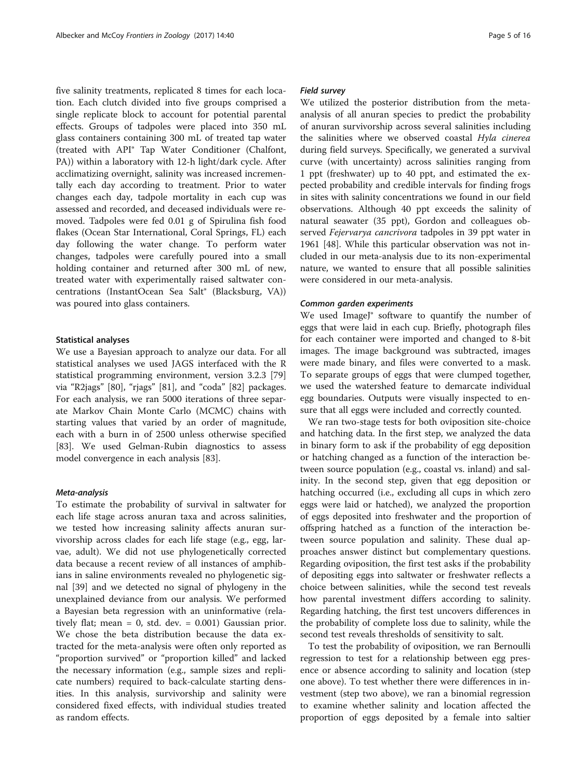five salinity treatments, replicated 8 times for each location. Each clutch divided into five groups comprised a single replicate block to account for potential parental effects. Groups of tadpoles were placed into 350 mL glass containers containing 300 mL of treated tap water (treated with API® Tap Water Conditioner (Chalfont, PA)) within a laboratory with 12-h light/dark cycle. After acclimatizing overnight, salinity was increased incrementally each day according to treatment. Prior to water changes each day, tadpole mortality in each cup was assessed and recorded, and deceased individuals were removed. Tadpoles were fed 0.01 g of Spirulina fish food flakes (Ocean Star International, Coral Springs, FL) each day following the water change. To perform water changes, tadpoles were carefully poured into a small holding container and returned after 300 mL of new, treated water with experimentally raised saltwater concentrations (InstantOcean Sea Salt® (Blacksburg, VA)) was poured into glass containers.

#### Statistical analyses

We use a Bayesian approach to analyze our data. For all statistical analyses we used JAGS interfaced with the R statistical programming environment, version 3.2.3 [[79](#page-14-0)] via "R2jags" [\[80](#page-14-0)], "rjags" [\[81](#page-14-0)], and "coda" [\[82](#page-14-0)] packages. For each analysis, we ran 5000 iterations of three separate Markov Chain Monte Carlo (MCMC) chains with starting values that varied by an order of magnitude, each with a burn in of 2500 unless otherwise specified [[83\]](#page-14-0). We used Gelman-Rubin diagnostics to assess model convergence in each analysis [[83](#page-14-0)].

#### Meta-analysis

To estimate the probability of survival in saltwater for each life stage across anuran taxa and across salinities, we tested how increasing salinity affects anuran survivorship across clades for each life stage (e.g., egg, larvae, adult). We did not use phylogenetically corrected data because a recent review of all instances of amphibians in saline environments revealed no phylogenetic signal [\[39](#page-13-0)] and we detected no signal of phylogeny in the unexplained deviance from our analysis. We performed a Bayesian beta regression with an uninformative (relatively flat; mean = 0, std. dev. = 0.001) Gaussian prior. We chose the beta distribution because the data extracted for the meta-analysis were often only reported as "proportion survived" or "proportion killed" and lacked the necessary information (e.g., sample sizes and replicate numbers) required to back-calculate starting densities. In this analysis, survivorship and salinity were considered fixed effects, with individual studies treated as random effects.

### Field survey

We utilized the posterior distribution from the metaanalysis of all anuran species to predict the probability of anuran survivorship across several salinities including the salinities where we observed coastal Hyla cinerea during field surveys. Specifically, we generated a survival curve (with uncertainty) across salinities ranging from 1 ppt (freshwater) up to 40 ppt, and estimated the expected probability and credible intervals for finding frogs in sites with salinity concentrations we found in our field observations. Although 40 ppt exceeds the salinity of natural seawater (35 ppt), Gordon and colleagues observed Fejervarya cancrivora tadpoles in 39 ppt water in 1961 [\[48\]](#page-13-0). While this particular observation was not included in our meta-analysis due to its non-experimental nature, we wanted to ensure that all possible salinities were considered in our meta-analysis.

#### Common garden experiments

We used ImageJ<sup>®</sup> software to quantify the number of eggs that were laid in each cup. Briefly, photograph files for each container were imported and changed to 8-bit images. The image background was subtracted, images were made binary, and files were converted to a mask. To separate groups of eggs that were clumped together, we used the watershed feature to demarcate individual egg boundaries. Outputs were visually inspected to ensure that all eggs were included and correctly counted.

We ran two-stage tests for both oviposition site-choice and hatching data. In the first step, we analyzed the data in binary form to ask if the probability of egg deposition or hatching changed as a function of the interaction between source population (e.g., coastal vs. inland) and salinity. In the second step, given that egg deposition or hatching occurred (i.e., excluding all cups in which zero eggs were laid or hatched), we analyzed the proportion of eggs deposited into freshwater and the proportion of offspring hatched as a function of the interaction between source population and salinity. These dual approaches answer distinct but complementary questions. Regarding oviposition, the first test asks if the probability of depositing eggs into saltwater or freshwater reflects a choice between salinities, while the second test reveals how parental investment differs according to salinity. Regarding hatching, the first test uncovers differences in the probability of complete loss due to salinity, while the second test reveals thresholds of sensitivity to salt.

To test the probability of oviposition, we ran Bernoulli regression to test for a relationship between egg presence or absence according to salinity and location (step one above). To test whether there were differences in investment (step two above), we ran a binomial regression to examine whether salinity and location affected the proportion of eggs deposited by a female into saltier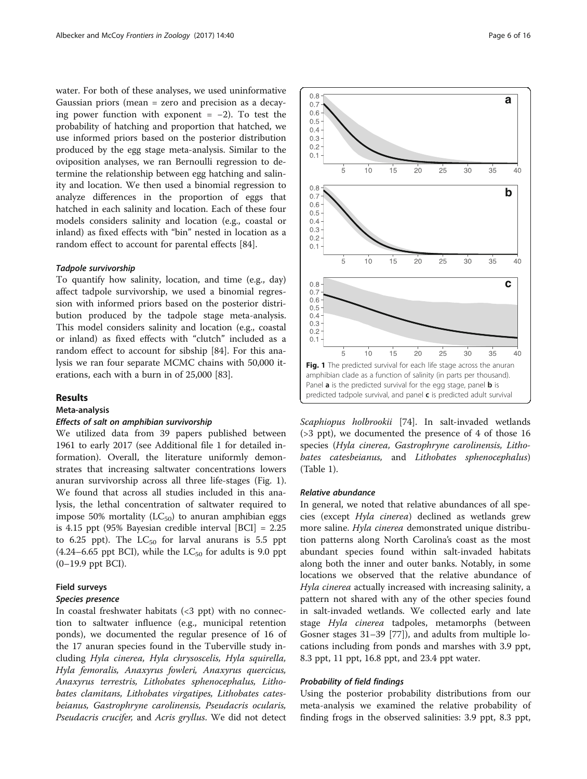<span id="page-5-0"></span>water. For both of these analyses, we used uninformative Gaussian priors (mean = zero and precision as a decaying power function with exponent =  $-2$ ). To test the probability of hatching and proportion that hatched, we use informed priors based on the posterior distribution produced by the egg stage meta-analysis. Similar to the oviposition analyses, we ran Bernoulli regression to determine the relationship between egg hatching and salinity and location. We then used a binomial regression to analyze differences in the proportion of eggs that hatched in each salinity and location. Each of these four models considers salinity and location (e.g., coastal or inland) as fixed effects with "bin" nested in location as a random effect to account for parental effects [\[84\]](#page-14-0).

#### Tadpole survivorship

To quantify how salinity, location, and time (e.g., day) affect tadpole survivorship, we used a binomial regression with informed priors based on the posterior distribution produced by the tadpole stage meta-analysis. This model considers salinity and location (e.g., coastal or inland) as fixed effects with "clutch" included as a random effect to account for sibship [\[84](#page-14-0)]. For this analysis we ran four separate MCMC chains with 50,000 iterations, each with a burn in of 25,000 [\[83](#page-14-0)].

### Results

## Meta-analysis

### Effects of salt on amphibian survivorship

We utilized data from 39 papers published between 1961 to early 2017 (see Additional file [1](#page-12-0) for detailed information). Overall, the literature uniformly demonstrates that increasing saltwater concentrations lowers anuran survivorship across all three life-stages (Fig. 1). We found that across all studies included in this analysis, the lethal concentration of saltwater required to impose 50% mortality  $(LC_{50})$  to anuran amphibian eggs is 4.15 ppt (95% Bayesian credible interval [BCI] = 2.25 to 6.25 ppt). The  $LC_{50}$  for larval anurans is 5.5 ppt  $(4.24-6.65$  ppt BCI), while the LC<sub>50</sub> for adults is 9.0 ppt (0–19.9 ppt BCI).

# Field surveys

# Species presence

In coastal freshwater habitats  $(3$  ppt) with no connection to saltwater influence (e.g., municipal retention ponds), we documented the regular presence of 16 of the 17 anuran species found in the Tuberville study including Hyla cinerea, Hyla chrysoscelis, Hyla squirella, Hyla femoralis, Anaxyrus fowleri, Anaxyrus quercicus, Anaxyrus terrestris, Lithobates sphenocephalus, Lithobates clamitans, Lithobates virgatipes, Lithobates catesbeianus, Gastrophryne carolinensis, Pseudacris ocularis, Pseudacris crucifer, and Acris gryllus. We did not detect



#### Relative abundance

In general, we noted that relative abundances of all species (except Hyla cinerea) declined as wetlands grew more saline. Hyla cinerea demonstrated unique distribution patterns along North Carolina's coast as the most abundant species found within salt-invaded habitats along both the inner and outer banks. Notably, in some locations we observed that the relative abundance of Hyla cinerea actually increased with increasing salinity, a pattern not shared with any of the other species found in salt-invaded wetlands. We collected early and late stage Hyla cinerea tadpoles, metamorphs (between Gosner stages 31–39 [[77\]](#page-14-0)), and adults from multiple locations including from ponds and marshes with 3.9 ppt, 8.3 ppt, 11 ppt, 16.8 ppt, and 23.4 ppt water.

#### Probability of field findings

Using the posterior probability distributions from our meta-analysis we examined the relative probability of finding frogs in the observed salinities: 3.9 ppt, 8.3 ppt,

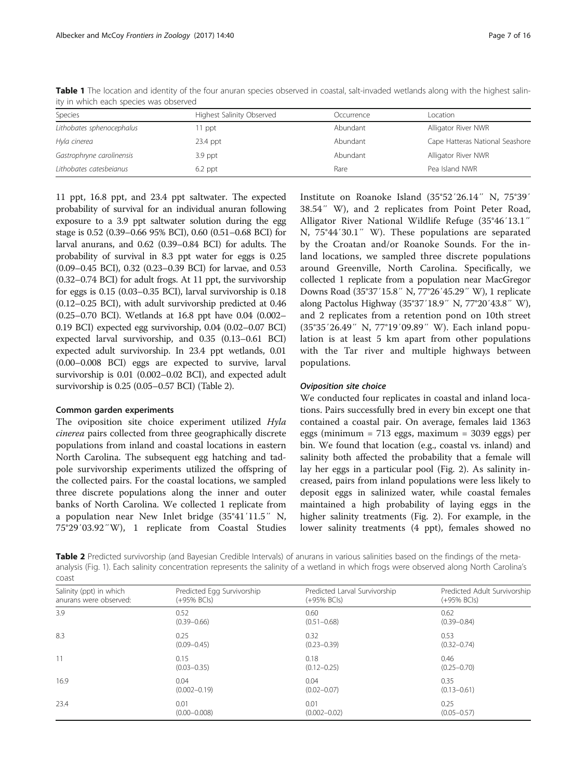| Species                   | Highest Salinity Observed | Occurrence | Location                        |
|---------------------------|---------------------------|------------|---------------------------------|
| Lithobates sphenocephalus | 1 ppt                     | Abundant   | Alligator River NWR             |
| Hyla cinerea              | 23.4 ppt                  | Abundant   | Cape Hatteras National Seashore |
| Gastrophryne carolinensis | $3.9$ ppt                 | Abundant   | Alligator River NWR             |
| Lithobates catesbeianus   | $6.2$ ppt                 | Rare       | Pea Island NWR                  |

<span id="page-6-0"></span>Table 1 The location and identity of the four anuran species observed in coastal, salt-invaded wetlands along with the highest salinity in which each species was observed

11 ppt, 16.8 ppt, and 23.4 ppt saltwater. The expected probability of survival for an individual anuran following exposure to a 3.9 ppt saltwater solution during the egg stage is 0.52 (0.39–0.66 95% BCI), 0.60 (0.51–0.68 BCI) for larval anurans, and 0.62 (0.39–0.84 BCI) for adults. The probability of survival in 8.3 ppt water for eggs is 0.25 (0.09–0.45 BCI), 0.32 (0.23–0.39 BCI) for larvae, and 0.53 (0.32–0.74 BCI) for adult frogs. At 11 ppt, the survivorship for eggs is 0.15 (0.03–0.35 BCI), larval survivorship is 0.18 (0.12–0.25 BCI), with adult survivorship predicted at 0.46 (0.25–0.70 BCI). Wetlands at 16.8 ppt have 0.04 (0.002– 0.19 BCI) expected egg survivorship, 0.04 (0.02–0.07 BCI) expected larval survivorship, and 0.35 (0.13–0.61 BCI) expected adult survivorship. In 23.4 ppt wetlands, 0.01 (0.00–0.008 BCI) eggs are expected to survive, larval survivorship is 0.01 (0.002–0.02 BCI), and expected adult survivorship is 0.25 (0.05–0.57 BCI) (Table 2).

### Common garden experiments

The oviposition site choice experiment utilized Hyla cinerea pairs collected from three geographically discrete populations from inland and coastal locations in eastern North Carolina. The subsequent egg hatching and tadpole survivorship experiments utilized the offspring of the collected pairs. For the coastal locations, we sampled three discrete populations along the inner and outer banks of North Carolina. We collected 1 replicate from a population near New Inlet bridge (35°41′11.5″ N, 75°29′03.92″W), 1 replicate from Coastal Studies

Institute on Roanoke Island (35°52′26.14″ N, 75°39′ 38.54″ W), and 2 replicates from Point Peter Road, Alligator River National Wildlife Refuge (35°46′13.1″ N, 75°44′30.1″ W). These populations are separated by the Croatan and/or Roanoke Sounds. For the inland locations, we sampled three discrete populations around Greenville, North Carolina. Specifically, we collected 1 replicate from a population near MacGregor Downs Road (35°37′15.8″ N, 77°26′45.29″ W), 1 replicate along Pactolus Highway (35°37′18.9″ N, 77°20′43.8″ W), and 2 replicates from a retention pond on 10th street (35°35′26.49″ N, 77°19′09.89″ W). Each inland population is at least 5 km apart from other populations with the Tar river and multiple highways between populations.

#### Oviposition site choice

We conducted four replicates in coastal and inland locations. Pairs successfully bred in every bin except one that contained a coastal pair. On average, females laid 1363 eggs (minimum = 713 eggs, maximum = 3039 eggs) per bin. We found that location (e.g., coastal vs. inland) and salinity both affected the probability that a female will lay her eggs in a particular pool (Fig. [2](#page-7-0)). As salinity increased, pairs from inland populations were less likely to deposit eggs in salinized water, while coastal females maintained a high probability of laying eggs in the higher salinity treatments (Fig. [2](#page-7-0)). For example, in the lower salinity treatments (4 ppt), females showed no

Table 2 Predicted survivorship (and Bayesian Credible Intervals) of anurans in various salinities based on the findings of the metaanalysis (Fig. [1](#page-5-0)). Each salinity concentration represents the salinity of a wetland in which frogs were observed along North Carolina's coast

| Salinity (ppt) in which | Predicted Egg Survivorship | Predicted Larval Survivorship | Predicted Adult Survivorship |
|-------------------------|----------------------------|-------------------------------|------------------------------|
| anurans were observed:  | $(+95% BCIs)$              | $(+95% BCIs)$                 | (+95% BCls)                  |
| 3.9                     | 0.52                       | 0.60                          | 0.62                         |
|                         | $(0.39 - 0.66)$            | $(0.51 - 0.68)$               | $(0.39 - 0.84)$              |
| 8.3                     | 0.25                       | 0.32                          | 0.53                         |
|                         | $(0.09 - 0.45)$            | $(0.23 - 0.39)$               | $(0.32 - 0.74)$              |
| 11                      | 0.15                       | 0.18                          | 0.46                         |
|                         | $(0.03 - 0.35)$            | $(0.12 - 0.25)$               | $(0.25 - 0.70)$              |
| 16.9                    | 0.04                       | 0.04                          | 0.35                         |
|                         | $(0.002 - 0.19)$           | $(0.02 - 0.07)$               | $(0.13 - 0.61)$              |
| 23.4                    | 0.01                       | 0.01                          | 0.25                         |
|                         | $(0.00 - 0.008)$           | $(0.002 - 0.02)$              | $(0.05 - 0.57)$              |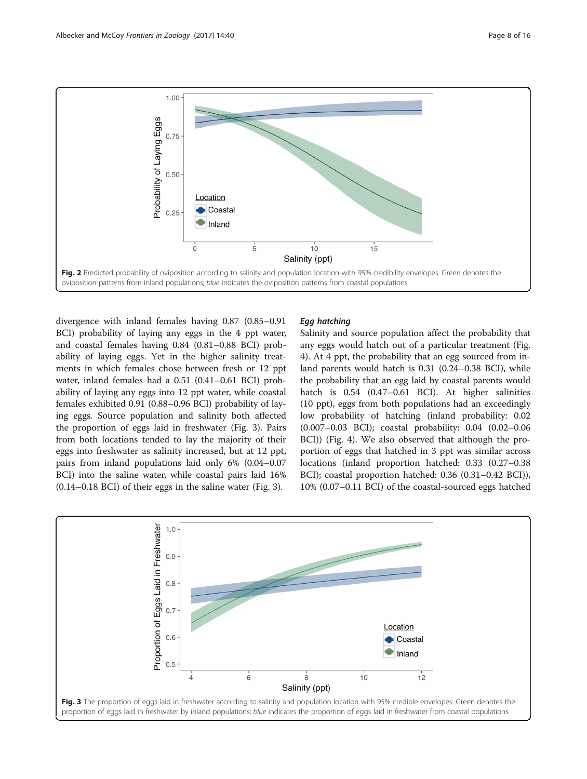<span id="page-7-0"></span>

divergence with inland females having 0.87 (0.85–0.91 BCI) probability of laying any eggs in the 4 ppt water, and coastal females having 0.84 (0.81–0.88 BCI) probability of laying eggs. Yet in the higher salinity treatments in which females chose between fresh or 12 ppt water, inland females had a 0.51 (0.41–0.61 BCI) probability of laying any eggs into 12 ppt water, while coastal females exhibited 0.91 (0.88–0.96 BCI) probability of laying eggs. Source population and salinity both affected the proportion of eggs laid in freshwater (Fig. 3). Pairs from both locations tended to lay the majority of their eggs into freshwater as salinity increased, but at 12 ppt, pairs from inland populations laid only 6% (0.04–0.07 BCI) into the saline water, while coastal pairs laid 16% (0.14–0.18 BCI) of their eggs in the saline water (Fig. 3).

## Egg hatching

Salinity and source population affect the probability that any eggs would hatch out of a particular treatment (Fig. [4\)](#page-8-0). At 4 ppt, the probability that an egg sourced from inland parents would hatch is 0.31 (0.24–0.38 BCI), while the probability that an egg laid by coastal parents would hatch is 0.54 (0.47–0.61 BCI). At higher salinities (10 ppt), eggs from both populations had an exceedingly low probability of hatching (inland probability: 0.02 (0.007–0.03 BCI); coastal probability: 0.04 (0.02–0.06 BCI)) (Fig. [4](#page-8-0)). We also observed that although the proportion of eggs that hatched in 3 ppt was similar across locations (inland proportion hatched: 0.33 (0.27–0.38 BCI); coastal proportion hatched: 0.36 (0.31–0.42 BCI)), 10% (0.07–0.11 BCI) of the coastal-sourced eggs hatched

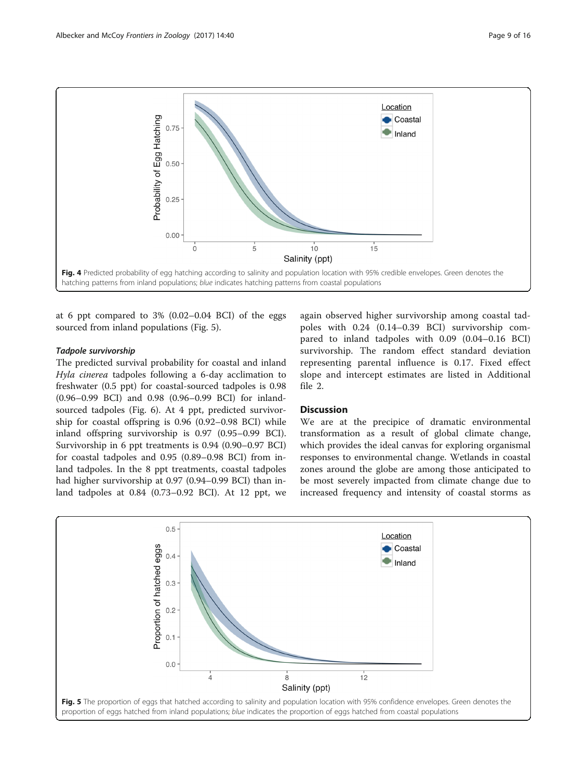<span id="page-8-0"></span>

at 6 ppt compared to 3% (0.02–0.04 BCI) of the eggs sourced from inland populations (Fig. 5).

## Tadpole survivorship

The predicted survival probability for coastal and inland Hyla cinerea tadpoles following a 6-day acclimation to freshwater (0.5 ppt) for coastal-sourced tadpoles is 0.98 (0.96–0.99 BCI) and 0.98 (0.96–0.99 BCI) for inlandsourced tadpoles (Fig. [6\)](#page-9-0). At 4 ppt, predicted survivorship for coastal offspring is 0.96 (0.92–0.98 BCI) while inland offspring survivorship is 0.97 (0.95–0.99 BCI). Survivorship in 6 ppt treatments is 0.94 (0.90–0.97 BCI) for coastal tadpoles and 0.95 (0.89–0.98 BCI) from inland tadpoles. In the 8 ppt treatments, coastal tadpoles had higher survivorship at 0.97 (0.94–0.99 BCI) than inland tadpoles at 0.84 (0.73–0.92 BCI). At 12 ppt, we

again observed higher survivorship among coastal tadpoles with 0.24 (0.14–0.39 BCI) survivorship compared to inland tadpoles with 0.09 (0.04–0.16 BCI) survivorship. The random effect standard deviation representing parental influence is 0.17. Fixed effect slope and intercept estimates are listed in Additional file [2](#page-12-0).

## **Discussion**

We are at the precipice of dramatic environmental transformation as a result of global climate change, which provides the ideal canvas for exploring organismal responses to environmental change. Wetlands in coastal zones around the globe are among those anticipated to be most severely impacted from climate change due to increased frequency and intensity of coastal storms as

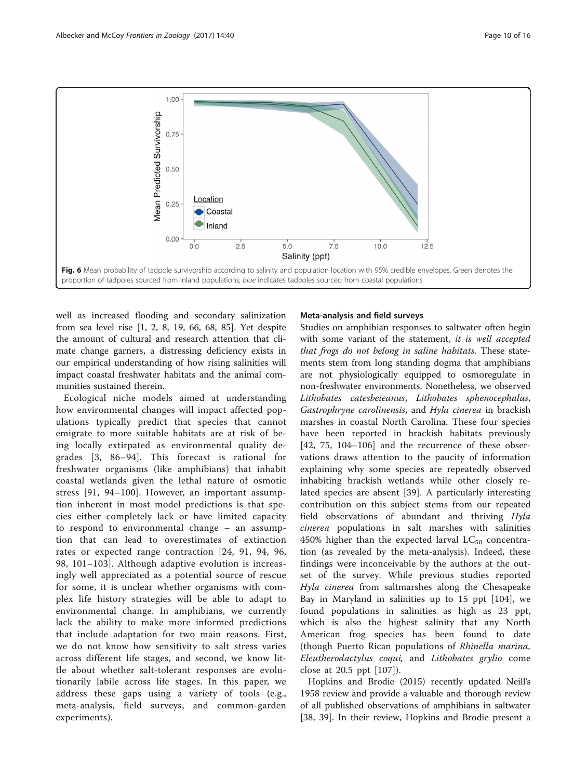<span id="page-9-0"></span>

well as increased flooding and secondary salinization from sea level rise [\[1](#page-12-0), [2](#page-13-0), [8, 19,](#page-13-0) [66, 68](#page-14-0), [85](#page-14-0)]. Yet despite the amount of cultural and research attention that climate change garners, a distressing deficiency exists in our empirical understanding of how rising salinities will impact coastal freshwater habitats and the animal communities sustained therein.

Ecological niche models aimed at understanding how environmental changes will impact affected populations typically predict that species that cannot emigrate to more suitable habitats are at risk of being locally extirpated as environmental quality degrades [[3,](#page-13-0) [86](#page-14-0)–[94](#page-14-0)]. This forecast is rational for freshwater organisms (like amphibians) that inhabit coastal wetlands given the lethal nature of osmotic stress [[91, 94](#page-14-0)–[100\]](#page-14-0). However, an important assumption inherent in most model predictions is that species either completely lack or have limited capacity to respond to environmental change – an assumption that can lead to overestimates of extinction rates or expected range contraction [\[24,](#page-13-0) [91](#page-14-0), [94, 96](#page-14-0), [98, 101](#page-14-0)–[103\]](#page-14-0). Although adaptive evolution is increasingly well appreciated as a potential source of rescue for some, it is unclear whether organisms with complex life history strategies will be able to adapt to environmental change. In amphibians, we currently lack the ability to make more informed predictions that include adaptation for two main reasons. First, we do not know how sensitivity to salt stress varies across different life stages, and second, we know little about whether salt-tolerant responses are evolutionarily labile across life stages. In this paper, we address these gaps using a variety of tools (e.g., meta-analysis, field surveys, and common-garden experiments).

### Meta-analysis and field surveys

Studies on amphibian responses to saltwater often begin with some variant of the statement, it is well accepted that frogs do not belong in saline habitats. These statements stem from long standing dogma that amphibians are not physiologically equipped to osmoregulate in non-freshwater environments. Nonetheless, we observed Lithobates catesbeieanus, Lithobates sphenocephalus, Gastrophryne carolinensis, and Hyla cinerea in brackish marshes in coastal North Carolina. These four species have been reported in brackish habitats previously [[42,](#page-13-0) [75, 104](#page-14-0)–[106\]](#page-14-0) and the recurrence of these observations draws attention to the paucity of information explaining why some species are repeatedly observed inhabiting brackish wetlands while other closely related species are absent [[39\]](#page-13-0). A particularly interesting contribution on this subject stems from our repeated field observations of abundant and thriving Hyla cinerea populations in salt marshes with salinities 450% higher than the expected larval  $LC_{50}$  concentration (as revealed by the meta-analysis). Indeed, these findings were inconceivable by the authors at the outset of the survey. While previous studies reported Hyla cinerea from saltmarshes along the Chesapeake Bay in Maryland in salinities up to 15 ppt [[104\]](#page-14-0), we found populations in salinities as high as 23 ppt, which is also the highest salinity that any North American frog species has been found to date (though Puerto Rican populations of Rhinella marina, Eleutherodactylus coqui, and Lithobates grylio come close at 20.5 ppt [\[107](#page-14-0)]).

Hopkins and Brodie (2015) recently updated Neill's 1958 review and provide a valuable and thorough review of all published observations of amphibians in saltwater [[38, 39\]](#page-13-0). In their review, Hopkins and Brodie present a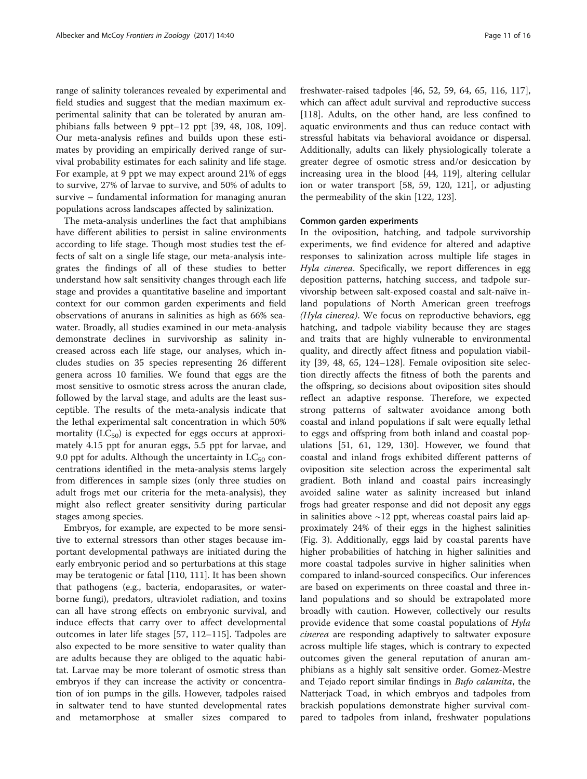range of salinity tolerances revealed by experimental and field studies and suggest that the median maximum experimental salinity that can be tolerated by anuran amphibians falls between 9 ppt–12 ppt [\[39, 48](#page-13-0), [108](#page-14-0), [109](#page-14-0)]. Our meta-analysis refines and builds upon these estimates by providing an empirically derived range of survival probability estimates for each salinity and life stage. For example, at 9 ppt we may expect around 21% of eggs to survive, 27% of larvae to survive, and 50% of adults to survive – fundamental information for managing anuran populations across landscapes affected by salinization.

The meta-analysis underlines the fact that amphibians have different abilities to persist in saline environments according to life stage. Though most studies test the effects of salt on a single life stage, our meta-analysis integrates the findings of all of these studies to better understand how salt sensitivity changes through each life stage and provides a quantitative baseline and important context for our common garden experiments and field observations of anurans in salinities as high as 66% seawater. Broadly, all studies examined in our meta-analysis demonstrate declines in survivorship as salinity increased across each life stage, our analyses, which includes studies on 35 species representing 26 different genera across 10 families. We found that eggs are the most sensitive to osmotic stress across the anuran clade, followed by the larval stage, and adults are the least susceptible. The results of the meta-analysis indicate that the lethal experimental salt concentration in which 50% mortality  $(LC_{50})$  is expected for eggs occurs at approximately 4.15 ppt for anuran eggs, 5.5 ppt for larvae, and 9.0 ppt for adults. Although the uncertainty in  $LC_{50}$  concentrations identified in the meta-analysis stems largely from differences in sample sizes (only three studies on adult frogs met our criteria for the meta-analysis), they might also reflect greater sensitivity during particular stages among species.

Embryos, for example, are expected to be more sensitive to external stressors than other stages because important developmental pathways are initiated during the early embryonic period and so perturbations at this stage may be teratogenic or fatal [[110, 111](#page-14-0)]. It has been shown that pathogens (e.g., bacteria, endoparasites, or waterborne fungi), predators, ultraviolet radiation, and toxins can all have strong effects on embryonic survival, and induce effects that carry over to affect developmental outcomes in later life stages [[57, 112](#page-14-0)–[115\]](#page-14-0). Tadpoles are also expected to be more sensitive to water quality than are adults because they are obliged to the aquatic habitat. Larvae may be more tolerant of osmotic stress than embryos if they can increase the activity or concentration of ion pumps in the gills. However, tadpoles raised in saltwater tend to have stunted developmental rates and metamorphose at smaller sizes compared to

freshwater-raised tadpoles [\[46](#page-13-0), [52,](#page-13-0) [59, 64](#page-14-0), [65,](#page-14-0) [116, 117](#page-15-0)], which can affect adult survival and reproductive success [[118\]](#page-15-0). Adults, on the other hand, are less confined to aquatic environments and thus can reduce contact with stressful habitats via behavioral avoidance or dispersal. Additionally, adults can likely physiologically tolerate a greater degree of osmotic stress and/or desiccation by increasing urea in the blood [[44,](#page-13-0) [119\]](#page-15-0), altering cellular ion or water transport [[58](#page-14-0), [59,](#page-14-0) [120, 121](#page-15-0)], or adjusting the permeability of the skin [[122](#page-15-0), [123](#page-15-0)].

## Common garden experiments

In the oviposition, hatching, and tadpole survivorship experiments, we find evidence for altered and adaptive responses to salinization across multiple life stages in Hyla cinerea. Specifically, we report differences in egg deposition patterns, hatching success, and tadpole survivorship between salt-exposed coastal and salt-naïve inland populations of North American green treefrogs (Hyla cinerea). We focus on reproductive behaviors, egg hatching, and tadpole viability because they are stages and traits that are highly vulnerable to environmental quality, and directly affect fitness and population viability [\[39, 48,](#page-13-0) [65](#page-14-0), [124](#page-15-0)–[128\]](#page-15-0). Female oviposition site selection directly affects the fitness of both the parents and the offspring, so decisions about oviposition sites should reflect an adaptive response. Therefore, we expected strong patterns of saltwater avoidance among both coastal and inland populations if salt were equally lethal to eggs and offspring from both inland and coastal populations [\[51](#page-13-0), [61](#page-14-0), [129, 130\]](#page-15-0). However, we found that coastal and inland frogs exhibited different patterns of oviposition site selection across the experimental salt gradient. Both inland and coastal pairs increasingly avoided saline water as salinity increased but inland frogs had greater response and did not deposit any eggs in salinities above  $\sim$ 12 ppt, whereas coastal pairs laid approximately 24% of their eggs in the highest salinities (Fig. [3\)](#page-7-0). Additionally, eggs laid by coastal parents have higher probabilities of hatching in higher salinities and more coastal tadpoles survive in higher salinities when compared to inland-sourced conspecifics. Our inferences are based on experiments on three coastal and three inland populations and so should be extrapolated more broadly with caution. However, collectively our results provide evidence that some coastal populations of *Hyla* cinerea are responding adaptively to saltwater exposure across multiple life stages, which is contrary to expected outcomes given the general reputation of anuran amphibians as a highly salt sensitive order. Gomez-Mestre and Tejado report similar findings in *Bufo calamita*, the Natterjack Toad, in which embryos and tadpoles from brackish populations demonstrate higher survival compared to tadpoles from inland, freshwater populations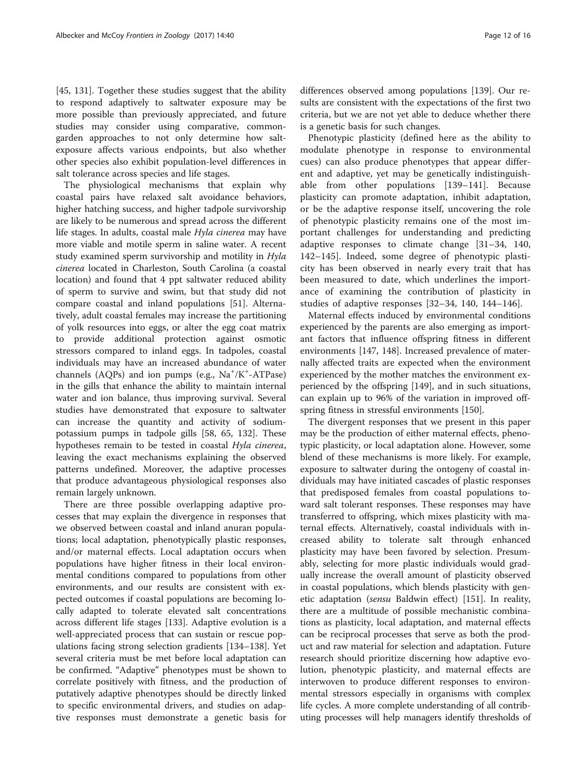[[45,](#page-13-0) [131](#page-15-0)]. Together these studies suggest that the ability to respond adaptively to saltwater exposure may be more possible than previously appreciated, and future studies may consider using comparative, commongarden approaches to not only determine how saltexposure affects various endpoints, but also whether other species also exhibit population-level differences in salt tolerance across species and life stages.

The physiological mechanisms that explain why coastal pairs have relaxed salt avoidance behaviors, higher hatching success, and higher tadpole survivorship are likely to be numerous and spread across the different life stages. In adults, coastal male Hyla cinerea may have more viable and motile sperm in saline water. A recent study examined sperm survivorship and motility in Hyla cinerea located in Charleston, South Carolina (a coastal location) and found that 4 ppt saltwater reduced ability of sperm to survive and swim, but that study did not compare coastal and inland populations [\[51](#page-13-0)]. Alternatively, adult coastal females may increase the partitioning of yolk resources into eggs, or alter the egg coat matrix to provide additional protection against osmotic stressors compared to inland eggs. In tadpoles, coastal individuals may have an increased abundance of water channels (AQPs) and ion pumps (e.g., Na<sup>+</sup>/K<sup>+</sup>-ATPase) in the gills that enhance the ability to maintain internal water and ion balance, thus improving survival. Several studies have demonstrated that exposure to saltwater can increase the quantity and activity of sodiumpotassium pumps in tadpole gills [[58](#page-14-0), [65](#page-14-0), [132](#page-15-0)]. These hypotheses remain to be tested in coastal Hyla cinerea, leaving the exact mechanisms explaining the observed patterns undefined. Moreover, the adaptive processes that produce advantageous physiological responses also remain largely unknown.

There are three possible overlapping adaptive processes that may explain the divergence in responses that we observed between coastal and inland anuran populations; local adaptation, phenotypically plastic responses, and/or maternal effects. Local adaptation occurs when populations have higher fitness in their local environmental conditions compared to populations from other environments, and our results are consistent with expected outcomes if coastal populations are becoming locally adapted to tolerate elevated salt concentrations across different life stages [[133](#page-15-0)]. Adaptive evolution is a well-appreciated process that can sustain or rescue populations facing strong selection gradients [[134](#page-15-0)–[138](#page-15-0)]. Yet several criteria must be met before local adaptation can be confirmed. "Adaptive" phenotypes must be shown to correlate positively with fitness, and the production of putatively adaptive phenotypes should be directly linked to specific environmental drivers, and studies on adaptive responses must demonstrate a genetic basis for

differences observed among populations [\[139](#page-15-0)]. Our results are consistent with the expectations of the first two criteria, but we are not yet able to deduce whether there is a genetic basis for such changes.

Phenotypic plasticity (defined here as the ability to modulate phenotype in response to environmental cues) can also produce phenotypes that appear different and adaptive, yet may be genetically indistinguishable from other populations [\[139](#page-15-0)–[141](#page-15-0)]. Because plasticity can promote adaptation, inhibit adaptation, or be the adaptive response itself, uncovering the role of phenotypic plasticity remains one of the most important challenges for understanding and predicting adaptive responses to climate change [\[31](#page-13-0)–[34](#page-13-0), [140](#page-15-0), [142](#page-15-0)–[145\]](#page-15-0). Indeed, some degree of phenotypic plasticity has been observed in nearly every trait that has been measured to date, which underlines the importance of examining the contribution of plasticity in studies of adaptive responses [[32](#page-13-0)–[34,](#page-13-0) [140, 144](#page-15-0)–[146\]](#page-15-0).

Maternal effects induced by environmental conditions experienced by the parents are also emerging as important factors that influence offspring fitness in different environments [\[147](#page-15-0), [148](#page-15-0)]. Increased prevalence of maternally affected traits are expected when the environment experienced by the mother matches the environment experienced by the offspring [[149](#page-15-0)], and in such situations, can explain up to 96% of the variation in improved offspring fitness in stressful environments [\[150](#page-15-0)].

The divergent responses that we present in this paper may be the production of either maternal effects, phenotypic plasticity, or local adaptation alone. However, some blend of these mechanisms is more likely. For example, exposure to saltwater during the ontogeny of coastal individuals may have initiated cascades of plastic responses that predisposed females from coastal populations toward salt tolerant responses. These responses may have transferred to offspring, which mixes plasticity with maternal effects. Alternatively, coastal individuals with increased ability to tolerate salt through enhanced plasticity may have been favored by selection. Presumably, selecting for more plastic individuals would gradually increase the overall amount of plasticity observed in coastal populations, which blends plasticity with genetic adaptation (*sensu* Baldwin effect) [[151\]](#page-15-0). In reality, there are a multitude of possible mechanistic combinations as plasticity, local adaptation, and maternal effects can be reciprocal processes that serve as both the product and raw material for selection and adaptation. Future research should prioritize discerning how adaptive evolution, phenotypic plasticity, and maternal effects are interwoven to produce different responses to environmental stressors especially in organisms with complex life cycles. A more complete understanding of all contributing processes will help managers identify thresholds of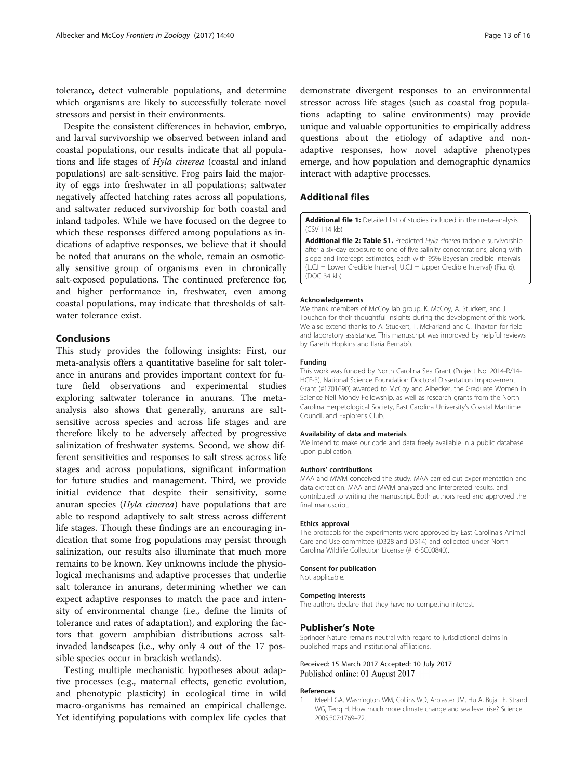<span id="page-12-0"></span>tolerance, detect vulnerable populations, and determine which organisms are likely to successfully tolerate novel stressors and persist in their environments.

Despite the consistent differences in behavior, embryo, and larval survivorship we observed between inland and coastal populations, our results indicate that all populations and life stages of Hyla cinerea (coastal and inland populations) are salt-sensitive. Frog pairs laid the majority of eggs into freshwater in all populations; saltwater negatively affected hatching rates across all populations, and saltwater reduced survivorship for both coastal and inland tadpoles. While we have focused on the degree to which these responses differed among populations as indications of adaptive responses, we believe that it should be noted that anurans on the whole, remain an osmotically sensitive group of organisms even in chronically salt-exposed populations. The continued preference for, and higher performance in, freshwater, even among coastal populations, may indicate that thresholds of saltwater tolerance exist.

# Conclusions

This study provides the following insights: First, our meta-analysis offers a quantitative baseline for salt tolerance in anurans and provides important context for future field observations and experimental studies exploring saltwater tolerance in anurans. The metaanalysis also shows that generally, anurans are saltsensitive across species and across life stages and are therefore likely to be adversely affected by progressive salinization of freshwater systems. Second, we show different sensitivities and responses to salt stress across life stages and across populations, significant information for future studies and management. Third, we provide initial evidence that despite their sensitivity, some anuran species (Hyla cinerea) have populations that are able to respond adaptively to salt stress across different life stages. Though these findings are an encouraging indication that some frog populations may persist through salinization, our results also illuminate that much more remains to be known. Key unknowns include the physiological mechanisms and adaptive processes that underlie salt tolerance in anurans, determining whether we can expect adaptive responses to match the pace and intensity of environmental change (i.e., define the limits of tolerance and rates of adaptation), and exploring the factors that govern amphibian distributions across saltinvaded landscapes (i.e., why only 4 out of the 17 possible species occur in brackish wetlands).

Testing multiple mechanistic hypotheses about adaptive processes (e.g., maternal effects, genetic evolution, and phenotypic plasticity) in ecological time in wild macro-organisms has remained an empirical challenge. Yet identifying populations with complex life cycles that demonstrate divergent responses to an environmental stressor across life stages (such as coastal frog populations adapting to saline environments) may provide unique and valuable opportunities to empirically address questions about the etiology of adaptive and nonadaptive responses, how novel adaptive phenotypes emerge, and how population and demographic dynamics interact with adaptive processes.

# Additional files

[Additional file 1:](dx.doi.org/10.1186/s12983-017-0222-0) Detailed list of studies included in the meta-analysis. (CSV 114 kb)

[Additional file 2: Table S1.](dx.doi.org/10.1186/s12983-017-0222-0) Predicted Hyla cinerea tadpole survivorship after a six-day exposure to one of five salinity concentrations, along with slope and intercept estimates, each with 95% Bayesian credible intervals (L.C.I = Lower Credible Interval, U.C.I = Upper Credible Interval) (Fig. [6\)](#page-9-0). (DOC 34 kb)

#### Acknowledgements

We thank members of McCoy lab group, K. McCoy, A. Stuckert, and J. Touchon for their thoughtful insights during the development of this work. We also extend thanks to A. Stuckert, T. McFarland and C. Thaxton for field and laboratory assistance. This manuscript was improved by helpful reviews by Gareth Hopkins and Ilaria Bernabò.

#### Funding

This work was funded by North Carolina Sea Grant (Project No. 2014-R/14- HCE-3), National Science Foundation Doctoral Dissertation Improvement Grant (#1701690) awarded to McCoy and Albecker, the Graduate Women in Science Nell Mondy Fellowship, as well as research grants from the North Carolina Herpetological Society, East Carolina University's Coastal Maritime Council, and Explorer's Club.

#### Availability of data and materials

We intend to make our code and data freely available in a public database upon publication.

#### Authors' contributions

MAA and MWM conceived the study. MAA carried out experimentation and data extraction. MAA and MWM analyzed and interpreted results, and contributed to writing the manuscript. Both authors read and approved the final manuscript.

#### Ethics approval

The protocols for the experiments were approved by East Carolina's Animal Care and Use committee (D328 and D314) and collected under North Carolina Wildlife Collection License (#16-SC00840).

#### Consent for publication

Not applicable.

#### Competing interests

The authors declare that they have no competing interest.

#### Publisher's Note

Springer Nature remains neutral with regard to jurisdictional claims in published maps and institutional affiliations.

#### Received: 15 March 2017 Accepted: 10 July 2017 Published online: 01 August 2017

#### References

1. Meehl GA, Washington WM, Collins WD, Arblaster JM, Hu A, Buja LE, Strand WG, Teng H. How much more climate change and sea level rise? Science. 2005;307:1769–72.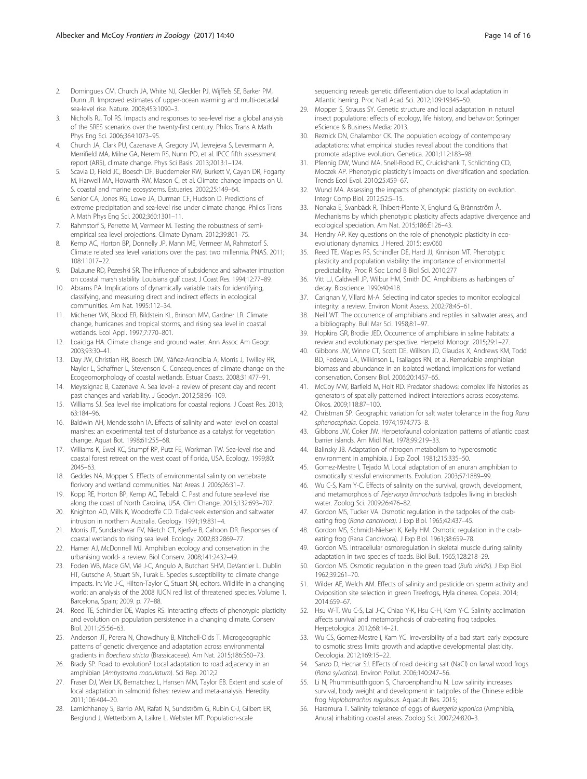- <span id="page-13-0"></span>2. Domingues CM, Church JA, White NJ, Gleckler PJ, Wijffels SE, Barker PM, Dunn JR. Improved estimates of upper-ocean warming and multi-decadal sea-level rise. Nature. 2008;453:1090–3.
- 3. Nicholls RJ, Tol RS. Impacts and responses to sea-level rise: a global analysis of the SRES scenarios over the twenty-first century. Philos Trans A Math Phys Eng Sci. 2006;364:1073–95.
- 4. Church JA, Clark PU, Cazenave A, Gregory JM, Jevrejeva S, Levermann A, Merrifield MA, Milne GA, Nerem RS, Nunn PD, et al. IPCC fifth assessment report (AR5), climate change. Phys Sci Basis. 2013;2013:1–124.
- 5. Scavia D, Field JC, Boesch DF, Buddemeier RW, Burkett V, Cayan DR, Fogarty M, Harwell MA, Howarth RW, Mason C, et al. Climate change impacts on U. S. coastal and marine ecosystems. Estuaries. 2002;25:149–64.
- 6. Senior CA, Jones RG, Lowe JA, Durman CF, Hudson D. Predictions of extreme precipitation and sea-level rise under climate change. Philos Trans A Math Phys Eng Sci. 2002;360:1301–11.
- 7. Rahmstorf S, Perrette M, Vermeer M. Testing the robustness of semiempirical sea level projections. Climate Dynam. 2012;39:861–75.
- Kemp AC, Horton BP, Donnelly JP, Mann ME, Vermeer M, Rahmstorf S. Climate related sea level variations over the past two millennia. PNAS. 2011; 108:11017–22.
- 9. DaLaune RD, Pezeshki SR. The influence of subsidence and saltwater intrustion on coastal marsh stability: Louisiana gulf coast. J Coast Res. 1994;12:77–89.
- 10. Abrams PA. Implications of dynamically variable traits for identifying, classifying, and measuring direct and indirect effects in ecological communities. Am Nat. 1995:112–34.
- 11. Michener WK, Blood ER, Bildstein KL, Brinson MM, Gardner LR. Climate change, hurricanes and tropical storms, and rising sea level in coastal wetlands. Ecol Appl. 1997;7:770–801.
- 12. Loaiciga HA. Climate change and ground water. Ann Assoc Am Geogr. 2003;93:30–41.
- 13. Day JW, Christian RR, Boesch DM, Yáñez-Arancibia A, Morris J, Twilley RR, Naylor L, Schaffner L, Stevenson C. Consequences of climate change on the Ecogeomorphology of coastal wetlands. Estuar Coasts. 2008;31:477–91.
- 14. Meyssignac B, Cazenave A. Sea level- a review of present day and recent past changes and variability. J Geodyn. 2012;58:96–109.
- 15. Williams SJ. Sea level rise implications for coastal regions. J Coast Res. 2013; 63:184–96.
- 16. Baldwin AH, Mendelssohn IA. Effects of salinity and water level on coastal marshes: an experimental test of disturbance as a catalyst for vegetation change. Aquat Bot. 1998;61:255–68.
- 17. Williams K, Ewel KC, Stumpf RP, Putz FE, Workman TW. Sea-level rise and coastal forest retreat on the west coast of florida, USA. Ecology. 1999;80: 2045–63.
- 18. Geddes NA, Mopper S. Effects of environmental salinity on vertebrate florivory and wetland communities. Nat Areas J. 2006;26:31–7.
- 19. Kopp RE, Horton BP, Kemp AC, Tebaldi C. Past and future sea-level rise along the coast of North Carolina, USA. Clim Change. 2015;132:693–707.
- 20. Knighton AD, Mills K, Woodroffe CD. Tidal-creek extension and saltwater intrusion in northern Australia. Geology. 1991;19:831–4.
- 21. Morris JT, Sundarshwar PV, Nietch CT, Kjerfve B, Cahoon DR. Responses of coastal wetlands to rising sea level. Ecology. 2002;83:2869–77.
- 22. Hamer AJ, McDonnell MJ. Amphibian ecology and conservation in the urbanising world- a review. Biol Conserv. 2008;141:2432–49.
- 23. Foden WB, Mace GM, Vié J-C, Angulo A, Butchart SHM, DeVantier L, Dublin HT, Gutsche A, Stuart SN, Turak E. Species susceptibility to climate change impacts. In: Vie J-C, Hilton-Taylor C, Stuart SN, editors. Wildlife in a changing world: an analysis of the 2008 IUCN red list of threatened species. Volume 1. Barcelona, Spain; 2009. p. 77–88.
- 24. Reed TE, Schindler DE, Waples RS. Interacting effects of phenotypic plasticity and evolution on population persistence in a changing climate. Conserv Biol. 2011;25:56–63.
- 25. Anderson JT, Perera N, Chowdhury B, Mitchell-Olds T. Microgeographic patterns of genetic divergence and adaptation across environmental gradients in Boechera stricta (Brassicaceae). Am Nat. 2015;186:S60–73.
- 26. Brady SP. Road to evolution? Local adaptation to road adjacency in an amphibian (Ambystoma maculatum). Sci Rep. 2012;2
- 27. Fraser DJ, Weir LK, Bernatchez L, Hansen MM, Taylor EB. Extent and scale of local adaptation in salmonid fishes: review and meta-analysis. Heredity. 2011;106:404–20.
- 28. Lamichhaney S, Barrio AM, Rafati N, Sundström G, Rubin C-J, Gilbert ER, Berglund J, Wetterbom A, Laikre L, Webster MT. Population-scale

sequencing reveals genetic differentiation due to local adaptation in Atlantic herring. Proc Natl Acad Sci. 2012;109:19345–50.

- 29. Mopper S, Strauss SY. Genetic structure and local adaptation in natural insect populations: effects of ecology, life history, and behavior: Springer eScience & Business Media; 2013.
- 30. Reznick DN, Ghalambor CK. The population ecology of contemporary adaptations: what empirical studies reveal about the conditions that promote adaptive evolution. Genetica. 2001;112:183–98.
- 31. Pfennig DW, Wund MA, Snell-Rood EC, Cruickshank T, Schlichting CD, Moczek AP. Phenotypic plasticity's impacts on diversification and speciation. Trends Ecol Evol. 2010;25:459–67.
- 32. Wund MA. Assessing the impacts of phenotypic plasticity on evolution. Integr Comp Biol. 2012;52:5–15.
- 33. Nonaka E, Svanbäck R, Thibert-Plante X, Englund G, Brännström Å. Mechanisms by which phenotypic plasticity affects adaptive divergence and ecological speciation. Am Nat. 2015;186:E126–43.
- 34. Hendry AP. Key questions on the role of phenotypic plasticity in ecoevolutionary dynamics. J Hered. 2015; esv060
- 35. Reed TE, Waples RS, Schindler DE, Hard JJ, Kinnison MT. Phenotypic plasticity and population viability: the importance of environmental predictability. Proc R Soc Lond B Biol Sci. 2010;277
- 36. Vitt LJ, Caldwell JP, Wilbur HM, Smith DC. Amphibians as harbingers of decay. Bioscience. 1990;40:418.
- 37. Carignan V, Villard M-A. Selecting indicator species to monitor ecological integrity: a review. Environ Monit Assess. 2002;78:45–61.
- 38. Neill WT. The occurrence of amphibians and reptiles in saltwater areas, and a bibliography. Bull Mar Sci. 1958;8:1–97.
- 39. Hopkins GR, Brodie JED. Occurrence of amphibians in saline habitats: a review and evolutionary perspective. Herpetol Monogr. 2015;29:1–27.
- 40. Gibbons JW, Winne CT, Scott DE, Willson JD, Glaudas X, Andrews KM, Todd BD, Fedewa LA, Wilkinson L, Tsaliagos RN, et al. Remarkable amphibian biomass and abundance in an isolated wetland: implications for wetland conservation. Conserv Biol. 2006;20:1457–65.
- 41. McCoy MW, Barfield M, Holt RD. Predator shadows: complex life histories as generators of spatially patterned indirect interactions across ecosystems. Oikos. 2009;118:87–100.
- 42. Christman SP. Geographic variation for salt water tolerance in the frog Rana sphenocephala. Copeia. 1974;1974:773–8.
- 43. Gibbons JW, Coker JW. Herpetofaunal colonization patterns of atlantic coast barrier islands. Am Midl Nat. 1978;99:219–33.
- 44. Balinsky JB. Adaptation of nitrogen metabolism to hyperosmotic environment in amphibia. J Exp Zool. 1981;215:335–50.
- 45. Gomez-Mestre I, Tejado M. Local adaptation of an anuran amphibian to osmotically stressful environments. Evolution. 2003;57:1889–99.
- 46. Wu C-S, Kam Y-C. Effects of salinity on the survival, growth, development, and metamorphosis of Fejervarya limnocharis tadpoles living in brackish water. Zoolog Sci. 2009;26:476–82.
- 47. Gordon MS, Tucker VA. Osmotic regulation in the tadpoles of the crabeating frog (Rana cancrivora). J Exp Biol. 1965;42:437–45.
- 48. Gordon MS, Schmidt-Nielsen K, Kelly HM. Osmotic regulation in the crabeating frog (Rana Cancrivora). J Exp Biol. 1961;38:659–78.
- 49. Gordon MS. Intracellular osmoregulation in skeletal muscle during salinity adaptation in two species of toads. Biol Bull. 1965;128:218–29.
- 50. Gordon MS. Osmotic regulation in the green toad (Bufo viridis). J Exp Biol. 1962;39:261–70.
- 51. Wilder AE, Welch AM. Effects of salinity and pesticide on sperm activity and Oviposition site selection in green Treefrogs, Hyla cinerea. Copeia. 2014; 2014:659–67.
- 52. Hsu W-T, Wu C-S, Lai J-C, Chiao Y-K, Hsu C-H, Kam Y-C. Salinity acclimation affects survival and metamorphosis of crab-eating frog tadpoles. Herpetologica. 2012;68:14–21.
- 53. Wu CS, Gomez-Mestre I, Kam YC. Irreversibility of a bad start: early exposure to osmotic stress limits growth and adaptive developmental plasticity. Oecologia. 2012;169:15–22.
- 54. Sanzo D, Hecnar SJ. Effects of road de-icing salt (NaCl) on larval wood frogs (Rana sylvatica). Environ Pollut. 2006;140:247–56.
- 55. Li N, Phummisutthigoon S, Charoenphandhu N. Low salinity increases survival, body weight and development in tadpoles of the Chinese edible frog Hoplobatrachus rugulosus. Aquacult Res. 2015;
- 56. Haramura T. Salinity tolerance of eggs of Buergeria japonica (Amphibia, Anura) inhabiting coastal areas. Zoolog Sci. 2007;24:820–3.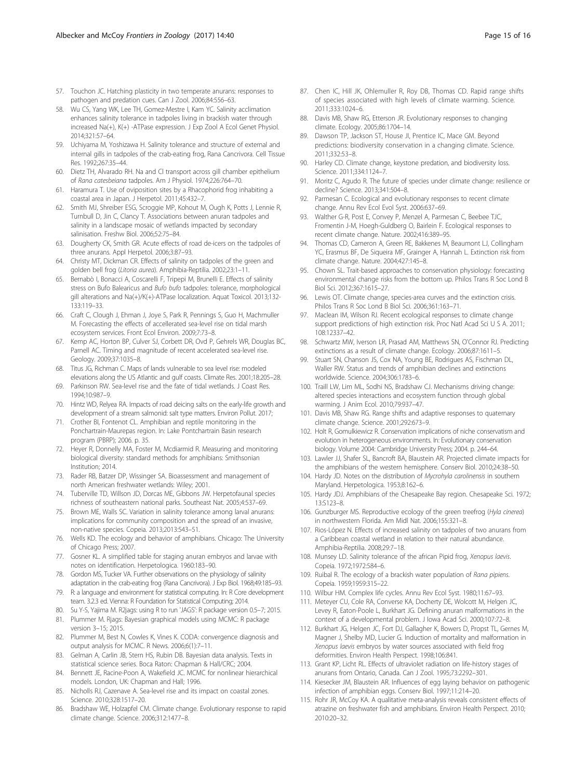- <span id="page-14-0"></span>57. Touchon JC. Hatching plasticity in two temperate anurans: responses to pathogen and predation cues. Can J Zool. 2006;84:556–63.
- 58. Wu CS, Yang WK, Lee TH, Gomez-Mestre I, Kam YC. Salinity acclimation enhances salinity tolerance in tadpoles living in brackish water through increased Na(+), K(+) -ATPase expression. J Exp Zool A Ecol Genet Physiol. 2014;321:57–64.
- 59. Uchiyama M, Yoshizawa H. Salinity tolerance and structure of external and internal gills in tadpoles of the crab-eating frog, Rana Cancrivora. Cell Tissue Res. 1992;267:35–44.
- 60. Dietz TH, Alvarado RH. Na and Cl transport across gill chamber epithelium of Rana catesbeiana tadpoles. Am J Physiol. 1974;226:764–70.
- 61. Haramura T. Use of oviposition sites by a Rhacophorid frog inhabiting a coastal area in Japan. J Herpetol. 2011;45:432–7.
- 62. Smith MJ, Shreiber ESG, Scroggie MP, Kohout M, Ough K, Potts J, Lennie R, Turnbull D, Jin C, Clancy T. Associations between anuran tadpoles and salinity in a landscape mosaic of wetlands impacted by secondary salinisation. Freshw Biol. 2006;52:75–84.
- 63. Dougherty CK, Smith GR. Acute effects of road de-icers on the tadpoles of three anurans. Appl Herpetol. 2006;3:87–93.
- 64. Christy MT, Dickman CR. Effects of salinity on tadpoles of the green and golden bell frog (Litoria aurea). Amphibia-Reptilia. 2002;23:1–11.
- 65. Bernabò I, Bonacci A, Coscarelli F, Tripepi M, Brunelli E. Effects of salinity stress on Bufo Balearicus and Bufo bufo tadpoles: tolerance, morphological gill alterations and Na(+)/K(+)-ATPase localization. Aquat Toxicol. 2013;132- 133:119–33.
- 66. Craft C, Clough J, Ehman J, Joye S, Park R, Pennings S, Guo H, Machmuller M. Forecasting the effects of accellerated sea-level rise on tidal marsh ecosystem services. Front Ecol Environ. 2009;7:73–8.
- 67. Kemp AC, Horton BP, Culver SJ, Corbett DR, Ovd P, Gehrels WR, Douglas BC, Parnell AC. Timing and magnitude of recent accelerated sea-level rise. Geology. 2009;37:1035–8.
- 68. Titus JG, Richman C. Maps of lands vulnerable to sea level rise: modeled elevations along the US Atlantic and gulf coasts. Climate Res. 2001;18:205–28.
- 69. Parkinson RW. Sea-level rise and the fate of tidal wetlands. J Coast Res. 1994;10:987–9.
- 70. Hintz WD, Relyea RA. Impacts of road deicing salts on the early-life growth and development of a stream salmonid: salt type matters. Environ Pollut. 2017;
- 71. Crother BI, Fontenot CL. Amphibian and reptile monitoring in the Ponchartrain-Maurepas region. In: Lake Pontchartrain Basin research program (PBRP); 2006. p. 35.
- 72. Heyer R, Donnelly MA, Foster M, Mcdiarmid R. Measuring and monitoring biological diversity: standard methods for amphibians: Smithsonian Institution; 2014.
- 73. Rader RB, Batzer DP, Wissinger SA. Bioassessment and management of north American freshwater wetlands: Wiley; 2001.
- 74. Tuberville TD, Willson JD, Dorcas ME, Gibbons JW. Herpetofaunal species richness of southeastern national parks. Southeast Nat. 2005;4:537–69.
- 75. Brown ME, Walls SC. Variation in salinity tolerance among larval anurans: implications for community composition and the spread of an invasive, non-native species. Copeia. 2013;2013:543–51.
- 76. Wells KD. The ecology and behavior of amphibians. Chicago: The University of Chicago Press; 2007.
- 77. Gosner KL. A simplified table for staging anuran embryos and larvae with notes on identification. Herpetologica. 1960:183–90.
- 78. Gordon MS, Tucker VA. Further observations on the physiology of salinity adaptation in the crab-eating frog (Rana Cancrivora). J Exp Biol. 1968;49:185–93.
- 79. R: a language and environment for statistical computing. In: R Core development team. 3.2.3 ed. Vienna: R Foundation for Statistical Computing; 2014.
- 80. Su Y-S, Yajima M. R2jags: using R to run 'JAGS': R package version 0.5–7; 2015.
- 81. Plummer M. Rjags: Bayesian graphical models using MCMC: R package version 3–15; 2015.
- 82. Plummer M, Best N, Cowles K, Vines K. CODA: convergence diagnosis and output analysis for MCMC. R News. 2006;6(1):7–11.
- 83. Gelman A, Carlin JB, Stern HS, Rubin DB. Bayesian data analysis. Texts in statistical science series. Boca Raton: Chapman & Hall/CRC; 2004.
- 84. Bennett JE, Racine-Poon A, Wakefield JC. MCMC for nonlinear hierarchical models. London, UK: Chapman and Hall; 1996.
- 85. Nicholls RJ, Cazenave A. Sea-level rise and its impact on coastal zones. Science. 2010;328:1517–20.
- 86. Bradshaw WE, Holzapfel CM. Climate change. Evolutionary response to rapid climate change. Science. 2006;312:1477–8.
- 87. Chen IC, Hill JK, Ohlemuller R, Roy DB, Thomas CD. Rapid range shifts of species associated with high levels of climate warming. Science. 2011;333:1024–6.
- 88. Davis MB, Shaw RG, Etterson JR. Evolutionary responses to changing climate. Ecology. 2005;86:1704–14.
- 89. Dawson TP, Jackson ST, House JI, Prentice IC, Mace GM. Beyond predictions: biodiversity conservation in a changing climate. Science. 2011;332:53–8.
- 90. Harley CD. Climate change, keystone predation, and biodiversity loss. Science. 2011;334:1124–7.
- 91. Moritz C, Agudo R. The future of species under climate change: resilience or decline? Science. 2013;341:504–8.
- 92. Parmesan C. Ecological and evolutionary responses to recent climate change. Annu Rev Ecol Evol Syst. 2006:637–69.
- 93. Walther G-R, Post E, Convey P, Menzel A, Parmesan C, Beebee TJC, Fromentin J-M, Hoegh-Guldberg O, Bairlein F. Ecological responses to recent climate change. Nature. 2002;416:389–95.
- 94. Thomas CD, Cameron A, Green RE, Bakkenes M, Beaumont LJ, Collingham YC, Erasmus BF, De Siqueira MF, Grainger A, Hannah L. Extinction risk from climate change. Nature. 2004;427:145–8.
- 95. Chown SL. Trait-based approaches to conservation physiology: forecasting environmental change risks from the bottom up. Philos Trans R Soc Lond B Biol Sci. 2012;367:1615–27.
- 96. Lewis OT. Climate change, species-area curves and the extinction crisis. Philos Trans R Soc Lond B Biol Sci. 2006;361:163–71.
- 97. Maclean IM, Wilson RJ. Recent ecological responses to climate change support predictions of high extinction risk. Proc Natl Acad Sci U S A. 2011; 108:12337–42.
- 98. Schwartz MW, Iverson LR, Prasad AM, Matthews SN, O'Connor RJ. Predicting extinctions as a result of climate change. Ecology. 2006;87:1611–5.
- 99. Stuart SN, Chanson JS, Cox NA, Young BE, Rodrigues AS, Fischman DL, Waller RW. Status and trends of amphibian declines and extinctions worldwide. Science. 2004;306:1783–6.
- 100. Traill LW, Lim ML, Sodhi NS, Bradshaw CJ. Mechanisms driving change: altered species interactions and ecosystem function through global warming. J Anim Ecol. 2010;79:937–47.
- 101. Davis MB, Shaw RG. Range shifts and adaptive responses to quaternary climate change. Science. 2001;292:673–9.
- 102. Holt R, Gomulkiewicz R. Conservation implications of niche conservatism and evolution in heterogeneous environments. In: Evolutionary conservation biology. Volume 2004: Cambridge University Press; 2004. p. 244–64.
- 103. Lawler JJ, Shafer SL, Bancroft BA, Blaustein AR. Projected climate impacts for the amphibians of the western hemisphere. Conserv Biol. 2010;24:38–50.
- 104. Hardy JD. Notes on the distribution of Mycrohyla carolinensis in southern Maryland. Herpetologica. 1953;8:162–6.
- 105. Hardy JDJ. Amphibians of the Chesapeake Bay region. Chesapeake Sci. 1972; 13:S123–8.
- 106. Gunzburger MS. Reproductive ecology of the green treefrog (Hyla cinerea) in northwestern Florida. Am Midl Nat. 2006;155:321–8.
- 107. Rios-López N. Effects of increased salinity on tadpoles of two anurans from a Caribbean coastal wetland in relation to their natural abundance. Amphibia-Reptilia. 2008;29:7–18.
- 108. Munsey LD. Salinity tolerance of the african Pipid frog, Xenopus laevis. Copeia. 1972;1972:584–6.
- 109. Ruibal R. The ecology of a brackish water population of Rana pipiens. Copeia. 1959;1959:315–22.
- 110. Wilbur HM. Complex life cycles. Annu Rev Ecol Syst. 1980;11:67–93.
- 111. Meteyer CU, Cole RA, Converse KA, Docherty DE, Wolcott M, Helgen JC, Levey R, Eaton-Poole L, Burkhart JG. Defining anuran malformations in the context of a developmental problem. J Iowa Acad Sci. 2000;107:72–8.
- 112. Burkhart JG, Helgen JC, Fort DJ, Gallagher K, Bowers D, Propst TL, Gernes M, Magner J, Shelby MD, Lucier G. Induction of mortality and malformation in Xenopus laevis embryos by water sources associated with field frog deformities. Environ Health Perspect. 1998;106:841.
- 113. Grant KP, Licht RL. Effects of ultraviolet radiation on life-history stages of anurans from Ontario, Canada. Can J Zool. 1995;73:2292–301.
- 114. Kiesecker JM, Blaustein AR. Influences of egg laying behavior on pathogenic infection of amphibian eggs. Conserv Biol. 1997;11:214–20.
- 115. Rohr JR, McCoy KA. A qualitative meta-analysis reveals consistent effects of atrazine on freshwater fish and amphibians. Environ Health Perspect. 2010; 2010:20–32.